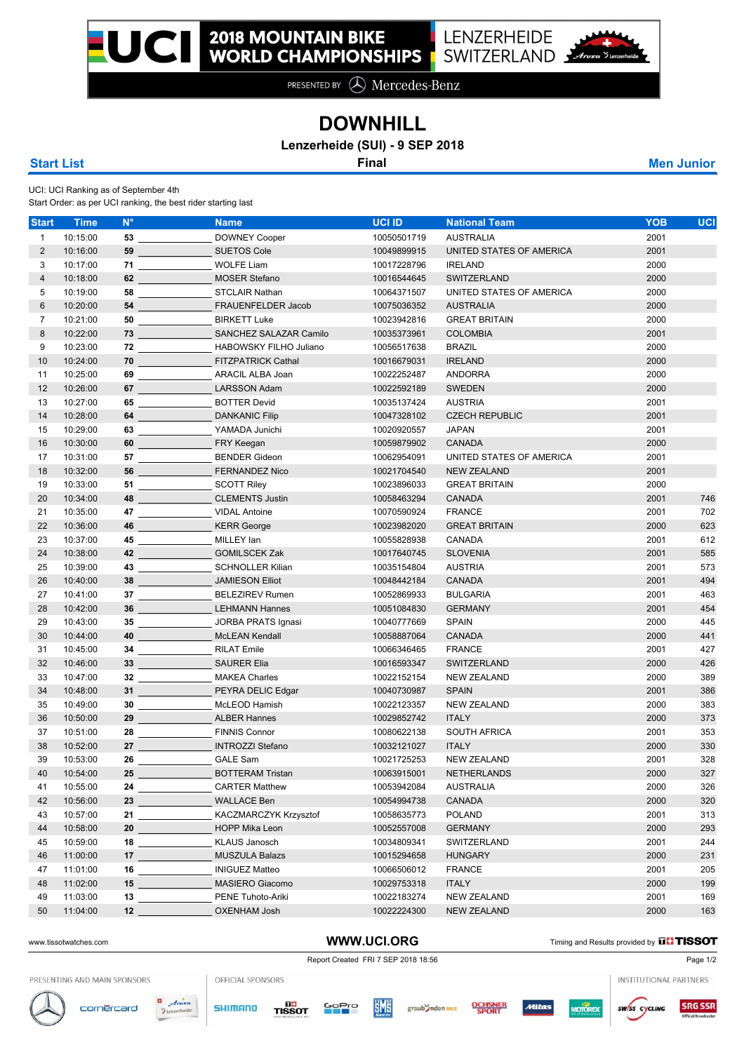PRESENTED BY  $\bigotimes$  Mercedes-Benz

## **DOWNHILL**

**Lenzerheide (SUI) - 9 SEP 2018**

UCI: UCI Ranking as of September 4th

Start Order: as per UCI ranking, the best rider starting last

| <b>Start</b>   | <b>Time</b> | $N^{\circ}$                    | <b>Name</b>                                                                                                                  | <b>UCI ID</b> | <b>National Team</b>     | <b>YOB</b><br><b>UCI</b> |
|----------------|-------------|--------------------------------|------------------------------------------------------------------------------------------------------------------------------|---------------|--------------------------|--------------------------|
| $\mathbf{1}$   | 10:15:00    |                                | <b>DOWNEY Cooper</b>                                                                                                         | 10050501719   | <b>AUSTRALIA</b>         | 2001                     |
| $\overline{2}$ | 10:16:00    |                                | <b>SUETOS Cole</b><br>59                                                                                                     | 10049899915   | UNITED STATES OF AMERICA | 2001                     |
| 3              | 10:17:00    |                                | <b>WOLFE Liam</b><br>$71$ and $\sim$                                                                                         | 10017228796   | <b>IRELAND</b>           | 2000                     |
| 4              | 10:18:00    |                                | <b>MOSER Stefano</b><br>62                                                                                                   | 10016544645   | SWITZERLAND              | 2000                     |
| 5              | 10:19:00    |                                |                                                                                                                              | 10064371507   | UNITED STATES OF AMERICA | 2000                     |
| 6              | 10:20:00    |                                | FRAUENFELDER Jacob<br>54                                                                                                     | 10075036352   | <b>AUSTRALIA</b>         | 2000                     |
| $\overline{7}$ | 10:21:00    |                                | <b>BIRKETT Luke</b>                                                                                                          | 10023942816   | <b>GREAT BRITAIN</b>     | 2000                     |
| 8              | 10:22:00    |                                |                                                                                                                              | 10035373961   | <b>COLOMBIA</b>          | 2001                     |
| 9              | 10:23:00    |                                | HABOWSKY FILHO Juliano                                                                                                       | 10056517638   | <b>BRAZIL</b>            | 2000                     |
| 10             | 10:24:00    |                                | <b>FITZPATRICK Cathal</b><br>$70$ and $70$ and $70$                                                                          | 10016679031   | <b>IRELAND</b>           | 2000                     |
| 11             | 10:25:00    |                                | ARACIL ALBA Joan<br>69                                                                                                       | 10022252487   | ANDORRA                  | 2000                     |
| 12             | 10:26:00    |                                | <b>LARSSON Adam</b>                                                                                                          | 10022592189   | <b>SWEDEN</b>            | 2000                     |
| 13             | 10:27:00    |                                | <b>BOTTER Devid</b>                                                                                                          | 10035137424   | <b>AUSTRIA</b>           | 2001                     |
| 14             | 10:28:00    |                                | <b>DANKANIC Filip</b><br>64                                                                                                  | 10047328102   | <b>CZECH REPUBLIC</b>    | 2001                     |
| 15             | 10:29:00    |                                | YAMADA Junichi                                                                                                               | 10020920557   | <b>JAPAN</b>             | 2001                     |
| 16             | 10:30:00    |                                | FRY Keegan<br>60 and 200 and 200 and 200 and 200 and 200 and 200 and 200 and 200 and 200 and 200 and 200 and 200 and 200 and | 10059879902   | CANADA                   | 2000                     |
| 17             | 10:31:00    |                                | <b>BENDER Gideon</b><br><b>57 ST ST ST ST ST ST</b>                                                                          | 10062954091   | UNITED STATES OF AMERICA | 2001                     |
| 18             | 10:32:00    |                                | <b>FERNANDEZ Nico</b><br><b>56 <i>Company</i></b>                                                                            | 10021704540   | <b>NEW ZEALAND</b>       | 2001                     |
| 19             | 10:33:00    |                                | <b>SCOTT Riley</b>                                                                                                           | 10023896033   | <b>GREAT BRITAIN</b>     | 2000                     |
| 20             | 10:34:00    |                                | 48 ______________________ CLEMENTS Justin                                                                                    | 10058463294   | CANADA                   | 2001<br>746              |
| 21             | 10:35:00    |                                | <b>VIDAL Antoine</b>                                                                                                         | 10070590924   | <b>FRANCE</b>            | 2001<br>702              |
| 22             | 10:36:00    |                                | <b>KERR</b> George<br>$46$ and $46$                                                                                          | 10023982020   | <b>GREAT BRITAIN</b>     | 2000<br>623              |
| 23             | 10:37:00    |                                | MILLEY Ian<br>45                                                                                                             | 10055828938   | CANADA                   | 2001<br>612              |
| 24             | 10:38:00    |                                | 42 ___________________GOMILSCEK Zak                                                                                          | 10017640745   | <b>SLOVENIA</b>          | 2001<br>585              |
| 25             | 10:39:00    |                                | SCHNOLLER Kilian                                                                                                             | 10035154804   | <b>AUSTRIA</b>           | 2001<br>573              |
| 26             | 10:40:00    |                                |                                                                                                                              | 10048442184   | CANADA                   | 2001<br>494              |
| 27             | 10:41:00    |                                | <b>BELEZIREV Rumen</b><br>37                                                                                                 | 10052869933   | <b>BULGARIA</b>          | 2001<br>463              |
| 28             | 10:42:00    |                                | <b>LEHMANN Hannes</b><br>$36 \quad \overline{\quad}$                                                                         | 10051084830   | <b>GERMANY</b>           | 2001<br>454              |
| 29             | 10:43:00    |                                | 35 ______________________ JORBA PRATS Ignasi                                                                                 | 10040777669   | <b>SPAIN</b>             | 2000<br>445              |
| 30             | 10:44:00    |                                | <b>McLEAN Kendall</b><br>40                                                                                                  | 10058887064   | <b>CANADA</b>            | 2000<br>441              |
| 31             | 10:45:00    |                                | <b>RILAT Emile</b>                                                                                                           | 10066346465   | <b>FRANCE</b>            | 2001<br>427              |
| 32             | 10:46:00    |                                | <b>SAURER Elia</b><br>33                                                                                                     | 10016593347   | <b>SWITZERLAND</b>       | 2000<br>426              |
| 33             | 10:47:00    |                                | <b>MAKEA Charles</b><br>$32$ and $\sim$                                                                                      | 10022152154   | <b>NEW ZEALAND</b>       | 2000<br>389              |
| 34             | 10:48:00    |                                | PEYRA DELIC Edgar<br>$31$ and $31$ and $31$                                                                                  | 10040730987   | <b>SPAIN</b>             | 2001<br>386              |
| 35             | 10:49:00    |                                | McLEOD Hamish<br>30                                                                                                          | 10022123357   | <b>NEW ZEALAND</b>       | 2000<br>383              |
| 36             | 10:50:00    |                                | <b>ALBER Hannes</b><br>$29$ and $29$ and $29$                                                                                | 10029852742   | <b>ITALY</b>             | 2000<br>373              |
| 37             | 10:51:00    |                                | <b>FINNIS Connor</b>                                                                                                         | 10080622138   | SOUTH AFRICA             | 2001<br>353              |
| 38             | 10:52:00    |                                | <b>INTROZZI Stefano</b><br>27 $\overline{\phantom{a} \phantom{a} \phantom{a}}$                                               | 10032121027   | <b>ITALY</b>             | 2000<br>330              |
| 39             | 10:53:00    |                                | <b>GALE Sam</b><br>26                                                                                                        | 10021725253   | <b>NEW ZEALAND</b>       | 2001<br>328              |
| 40             | 10:54:00    | $25 - 25$                      | <b>BOTTERAM Tristan</b>                                                                                                      | 10063915001   | NETHERLANDS              | 327<br>2000              |
| 41             | 10:55:00    |                                | <b>CARTER Matthew</b>                                                                                                        | 10053942084   | <b>AUSTRALIA</b>         | 2000<br>326              |
| 42             | 10:56:00    |                                | <b>WALLACE Ben</b><br>$23$ and $23$                                                                                          | 10054994738   | CANADA                   | 2000<br>320              |
| 43             | 10:57:00    |                                | KACZMARCZYK Krzysztof                                                                                                        | 10058635773   | <b>POLAND</b>            | 2001<br>313              |
| 44             | 10:58:00    | 20                             | <b>HOPP Mika Leon</b>                                                                                                        | 10052557008   | <b>GERMANY</b>           | 2000<br>293              |
| 45             | 10:59:00    | 18                             | <b>KLAUS Janosch</b>                                                                                                         | 10034809341   | SWITZERLAND              | 2001<br>244              |
| 46             | 11:00:00    |                                | <b>MUSZULA Balazs</b><br>$17$ and $17$ and $17$ and $17$ and $17$                                                            | 10015294658   | <b>HUNGARY</b>           | 2000<br>231              |
| 47             | 11:01:00    | $16 \overline{\qquad \qquad }$ | <b>INIGUEZ Matteo</b>                                                                                                        | 10066506012   | <b>FRANCE</b>            | 205<br>2001              |
| 48             | 11:02:00    | $15$ and $15$                  | <b>MASIERO Giacomo</b>                                                                                                       | 10029753318   | <b>ITALY</b>             | 2000<br>199              |
| 49             | 11:03:00    |                                | PENE Tuhoto-Ariki                                                                                                            | 10022183274   | <b>NEW ZEALAND</b>       | 2001<br>169              |
| 50             | 11:04:00    | 12                             | <b>OXENHAM Josh</b>                                                                                                          | 10022224300   | <b>NEW ZEALAND</b>       | 2000<br>163              |
|                |             |                                |                                                                                                                              |               |                          |                          |

WWW.UCI.ORG Timing and Results provided by **THISSOT** 

PRESENTING AND MAIN SPONSORS

OFFICIAL SPONSORS



cornercard

 $\overline{a}$ 







Report Created FRI 7 SEP 2018 18:56 Page 1/2



**SRG SSR** sw/ss cycling

INSTITUTIONAL PARTNERS